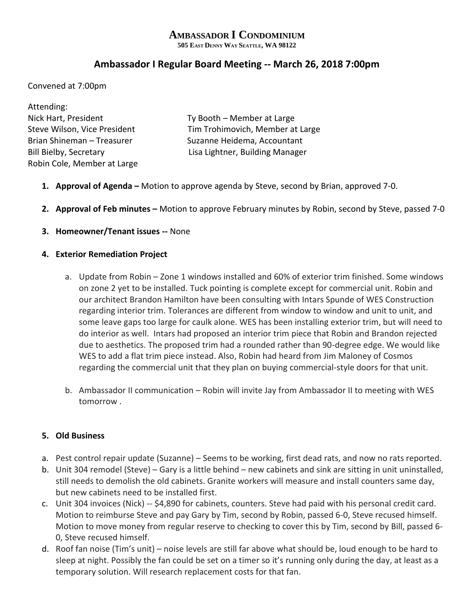# **AMBASSADOR I CONDOMINIUM**

**505 EAST DENNY WAY SEATTLE, WA 98122**

## **Ambassador I Regular Board Meeting -- March 26, 2018 7:00pm**

Convened at 7:00pm

| Attending:                    |                                  |
|-------------------------------|----------------------------------|
| Nick Hart, President          | Ty Booth - Member at Large       |
| Steve Wilson, Vice President  | Tim Trohimovich, Member at Large |
| Brian Shineman - Treasurer    | Suzanne Heidema, Accountant      |
| <b>Bill Bielby, Secretary</b> | Lisa Lightner, Building Manager  |
| Robin Cole, Member at Large   |                                  |

- **1. Approval of Agenda –** Motion to approve agenda by Steve, second by Brian, approved 7-0.
- **2. Approval of Feb minutes –** Motion to approve February minutes by Robin, second by Steve, passed 7-0
- **3. Homeowner/Tenant issues --** None

#### **4. Exterior Remediation Project**

- a. Update from Robin Zone 1 windows installed and 60% of exterior trim finished. Some windows on zone 2 yet to be installed. Tuck pointing is complete except for commercial unit. Robin and our architect Brandon Hamilton have been consulting with Intars Spunde of WES Construction regarding interior trim. Tolerances are different from window to window and unit to unit, and some leave gaps too large for caulk alone. WES has been installing exterior trim, but will need to do interior as well. Intars had proposed an interior trim piece that Robin and Brandon rejected due to aesthetics. The proposed trim had a rounded rather than 90-degree edge. We would like WES to add a flat trim piece instead. Also, Robin had heard from Jim Maloney of Cosmos regarding the commercial unit that they plan on buying commercial-style doors for that unit.
- b. Ambassador II communication Robin will invite Jay from Ambassador II to meeting with WES tomorrow .

#### **5. Old Business**

- a. Pest control repair update (Suzanne) Seems to be working, first dead rats, and now no rats reported.
- b. Unit 304 remodel (Steve) Gary is a little behind new cabinets and sink are sitting in unit uninstalled, still needs to demolish the old cabinets. Granite workers will measure and install counters same day, but new cabinets need to be installed first.
- c. Unit 304 invoices (Nick) -- \$4,890 for cabinets, counters. Steve had paid with his personal credit card. Motion to reimburse Steve and pay Gary by Tim, second by Robin, passed 6-0, Steve recused himself. Motion to move money from regular reserve to checking to cover this by Tim, second by Bill, passed 6- 0, Steve recused himself.
- d. Roof fan noise (Tim's unit) noise levels are still far above what should be, loud enough to be hard to sleep at night. Possibly the fan could be set on a timer so it's running only during the day, at least as a temporary solution. Will research replacement costs for that fan.